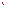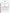## **THE ENVIRONMENTAL TECHNOLOGY VERIFICATION**







# **ETV Joint Verification Statement**

| <b>TECHNOLOGY TYPE: Continuous Ambient Fine Particle Monitor</b> |                                                                |                             |
|------------------------------------------------------------------|----------------------------------------------------------------|-----------------------------|
| <b>APPLICATION:</b>                                              | <b>MEASURING FINE PARTICLATE MASS IN</b><br><b>AMBIENT AIR</b> |                             |
| <b>TECHNOLOGY</b>                                                |                                                                |                             |
| <b>NAME:</b>                                                     | FH 62 C14 Ambient Dust Monitor                                 |                             |
| <b>COMPANY:</b>                                                  | <b>Thermo Andersen</b>                                         |                             |
| <b>ADDRESS:</b>                                                  | <b>500 Technology Court</b>                                    | PHONE: 800-241-6898         |
|                                                                  | <b>Smyrna, GA 30082</b>                                        | 770-319-9999<br><b>FAX:</b> |
| <b>WEB SITE:</b>                                                 | http://www.AndersenInstruments.com                             |                             |
| $E\text{-}MAIL:$                                                 | sales@AndersenInstruments.com                                  |                             |

The U.S. Environmental Protection Agency (EPA) has created the Environmental Technology Verification (ETV) Program to facilitate the deployment of innovative or improved environmental technologies through performance verification and dissemination of information. The goal of the ETV Program is to further environmental protection by substantially accelerating the acceptance and use of improved and cost-effective technologies. ETV seeks to achieve this goal by providing high-quality, peer-reviewed data on technology performance to those involved in the design, distribution, financing, permitting, purchase, and use of environmental technologies.

ETV works in partnership with recognized standards and testing organizations; with stakeholder groups that consist of buyers, vendor organizations, and permitters; and with the full participation of individual technology developers. The program evaluates the performance of innovative technologies by developing test plans that are responsive to the needs of stakeholders, conducting field or laboratory tests (as appropriate), collecting and analyzing data, and preparing peer-reviewed reports. All evaluations are conducted in accordance with rigorous quality assurance protocols to ensure that data of known and adequate quality are generated and that the results are defensible.

The Advanced Monitoring Systems (AMS) Center, one of six technology centers under ETV, is operated by Battelle in cooperation with EPA's National Exposure Research Laboratory. The AMS Center has recently evaluated the performance of continuous monitors used to measure fine particulate mass and species in ambient air. This verification statement provides a summary of the test results for the Thermo Andersen FH 62 C14 ambient dust monitor.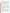### **VERIFICATION TEST DESCRIPTION**

The objective of this verification test is to provide quantitative performance data on continuous fine particle monitors under a range of realistic operating conditions. To meet this objective, field testing was conducted in two phases in geographically distinct regions of the United States during different seasons of the year. The first phase of field testing was conducted at the ambient air monitoring station on the Department of Energy's National Energy Technology Laboratory campus in Pittsburgh, PA, from August 1 to September 1, 2000. The second phase of testing was performed at the California Air Resources Board's ambient air monitoring station in Fresno, CA, from December 18, 2000, to January 17, 2001. Specific performance characteristics verified in this test include inter-unit precision, agreement with and correlation to time-integrated reference methods, effect of meteorological conditions, influence of precursor gases, and short-term monitoring capabilities. The FH 62 C14 reports measurement results in terms of  $PM<sub>2.5</sub>$  mass and, therefore, was compared with the federal reference method (FRM) for  $PM<sub>2.5</sub>$  mass determination. Additionally, comparisons with a variety of supplemental measurements were made to establish specific performance characteristics.

Quality assurance (QA) oversight of verification testing was provided by Battelle and EPA. Battelle QA staff conducted a data quality audit of 10% of the test data, and performance evaluation audits were conducted on the FRM samplers used in the verification test. Battelle QA staff conducted an internal technical systems audit for Phase I and Phase II. EPA QA staff conducted an external technical systems audit during Phase II.

#### **TECHNOLOGY DESCRIPTION**

The FH 62 C14 monitor measures the concentration of particulate matter in ambient air. The FH 62 C14 monitor uses the principle of beta attenuation through particulate matter collected on a moveable filter tape using a  $C_{14}$ source. When a new section of the filter tape moves into the measuring position, ambient air is pulled through the inlet and the sample tube. Airborne dust particles are deposited on the filter, and a single filter spot remains in the chamber for particulate collection and measurement. The filter section moves out, and a fresh filter section moves into the measuring position. A new cycle starts with an automatic zero adjustment. The chamber for particulate collection and measurement is between the source and the detector. The beta beam passes through the filter and the accumulated dust layer. The intensity of the beta beam is attenuated with increasing dust mass load, leading to a decreasing count rate from the detector. The FH 62 C14 monitor consists of a central unit, a sampling system, a rotary vane pump, and a recording unit. Different preseparators allow various particle sizes to be detected. The FH 62 C14 monitor operates at 100 to 240 volts alternating current and is 315 mm high x 450 mm wide x 320 to 400 mm deep. Measured values can be read from a liquid crystal display or printed. The duplicate FH 62 C14 monitors were each operated with a conventional  $PM_{10}$  head and  $PM_{2.5}$  sharp cut cyclone to provide size selection.

### **VERIFICATION OF PERFORMANCE**

**Inter-Unit Precision:** During Phase I the 5-minute readings of the duplicate FH 62 C14 monitors showed recurring negative artifacts apparently associated with condensation of moisture in the early morning hours. The unit-to-unit regression of the 5-minute data gave results [slope = 0.565 (0.019), intercept = 9.5 (1.2)  $\mu$ g/m<sup>3</sup>, r<sup>2</sup> = 0.374, where the values in parentheses are 95% confidence intervals] that were undoubtedly affected by those artifacts. Regression analysis of the 24-hour FH 62 C14 averages showed an  $r^2$  value of 0.875 for the duplicate monitors, with a slope of 0.948 (0.183) and an intercept of  $-1.29$  (5.9)  $\mu$ g/m<sup>3</sup>. At the 95% confidence level, the slope was not significantly different from unity, and the intercept was not significantly different from zero. The calculated coefficient of variation (CV) for the 24-hour average data was 20.6%. During Phase II, inter-unit regression analysis showed  $r^2$  values of 0.987 and 0.999 for the 30-minute readings and the 24-hour averages, respectively. The slopes of the regression lines were 1.002 (0.006) and 1.005 (0.012) for the 30-minute data and 24-hour averages, respectively, indicating no inter-unit bias; and the intercepts were  $0.69(0.65)$   $\mu$ g/m<sup>3</sup> and  $0.29$ (1.34)  $\mu$ g/m<sup>3</sup>, respectively. The calculated CV for the 30-minute data was 15.4% and for the 24-hour data the CV was 4.4%.